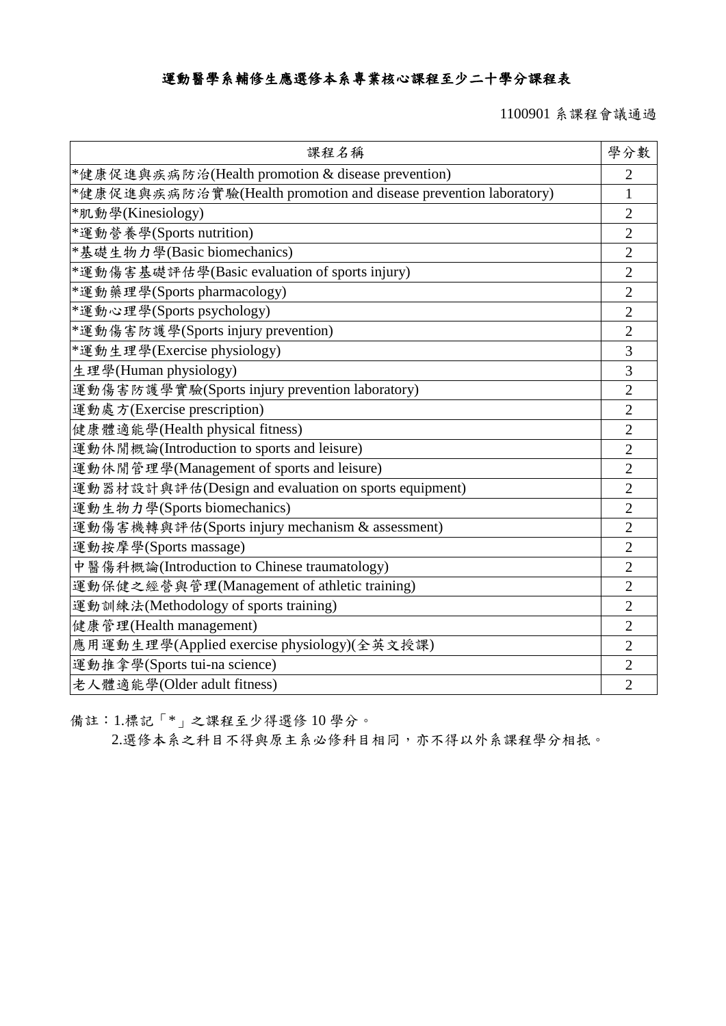## 運動醫學系輔修生應選修本系專業核心課程至少二十學分課程表

1100901 系課程會議通過

| 課程名稱                                                             | 學分數            |
|------------------------------------------------------------------|----------------|
| *健康促進與疾病防治(Health promotion & disease prevention)                | $\overline{2}$ |
| *健康促進與疾病防治實驗(Health promotion and disease prevention laboratory) | $\mathbf{1}$   |
| *肌動學(Kinesiology)                                                | $\overline{2}$ |
| *運動營養學(Sports nutrition)                                         | $\overline{2}$ |
| *基礎生物力學(Basic biomechanics)                                      | $\overline{2}$ |
| *運動傷害基礎評估學(Basic evaluation of sports injury)                    | $\overline{2}$ |
| *運動藥理學(Sports pharmacology)                                      | $\overline{2}$ |
| *運動心理學(Sports psychology)                                        | $\overline{2}$ |
| *運動傷害防護學(Sports injury prevention)                               | $\overline{2}$ |
| *運動生理學(Exercise physiology)                                      | $\overline{3}$ |
| 生理學(Human physiology)                                            | 3              |
| 運動傷害防護學實驗(Sports injury prevention laboratory)                   | $\overline{2}$ |
| 運動處方(Exercise prescription)                                      | $\overline{2}$ |
| 健康體適能學(Health physical fitness)                                  | $\overline{2}$ |
| 運動休閒概論(Introduction to sports and leisure)                       | $\overline{2}$ |
| 運動休閒管理學(Management of sports and leisure)                        | $\overline{2}$ |
| 運動器材設計與評估(Design and evaluation on sports equipment)             | $\overline{2}$ |
| 運動生物力學(Sports biomechanics)                                      | $\overline{2}$ |
| 運動傷害機轉與評估(Sports injury mechanism & assessment)                  | $\overline{2}$ |
| 運動按摩學(Sports massage)                                            | $\overline{2}$ |
| 中醫傷科概論(Introduction to Chinese traumatology)                     | $\overline{2}$ |
| 運動保健之經營與管理(Management of athletic training)                      | $\overline{c}$ |
| 運動訓練法(Methodology of sports training)                            | $\overline{2}$ |
| 健康管理(Health management)                                          | $\overline{2}$ |
| 應用運動生理學(Applied exercise physiology)(全英文授課)                      | $\overline{2}$ |
| 運動推拿學(Sports tui-na science)                                     | $\overline{2}$ |
| 老人體適能學(Older adult fitness)                                      | $\overline{2}$ |

備註:1.標記「\*」之課程至少得選修 10 學分。

2.選修本系之科目不得與原主系必修科目相同,亦不得以外系課程學分相抵。